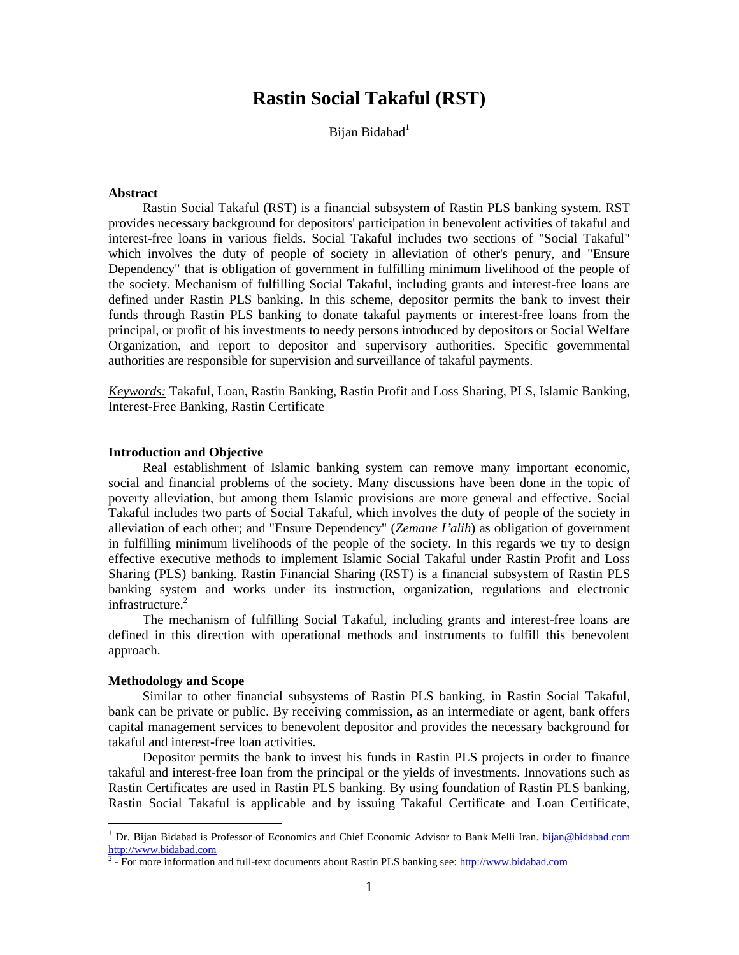# **Rastin Social Takaful (RST)**

Bijan Bidabad<sup>1</sup>

# **Abstract**

Rastin Social Takaful (RST) is a financial subsystem of Rastin PLS banking system. RST provides necessary background for depositors' participation in benevolent activities of takaful and interest-free loans in various fields. Social Takaful includes two sections of "Social Takaful" which involves the duty of people of society in alleviation of other's penury, and "Ensure Dependency" that is obligation of government in fulfilling minimum livelihood of the people of the society. Mechanism of fulfilling Social Takaful, including grants and interest-free loans are defined under Rastin PLS banking. In this scheme, depositor permits the bank to invest their funds through Rastin PLS banking to donate takaful payments or interest-free loans from the principal, or profit of his investments to needy persons introduced by depositors or Social Welfare Organization, and report to depositor and supervisory authorities. Specific governmental authorities are responsible for supervision and surveillance of takaful payments.

*Keywords:* Takaful, Loan, Rastin Banking, Rastin Profit and Loss Sharing, PLS, Islamic Banking, Interest-Free Banking, Rastin Certificate

#### **Introduction and Objective**

Real establishment of Islamic banking system can remove many important economic, social and financial problems of the society. Many discussions have been done in the topic of poverty alleviation, but among them Islamic provisions are more general and effective. Social Takaful includes two parts of Social Takaful, which involves the duty of people of the society in alleviation of each other; and "Ensure Dependency" (*Zemane I'alih*) as obligation of government in fulfilling minimum livelihoods of the people of the society. In this regards we try to design effective executive methods to implement Islamic Social Takaful under Rastin Profit and Loss Sharing (PLS) banking. Rastin Financial Sharing (RST) is a financial subsystem of Rastin PLS banking system and works under its instruction, organization, regulations and electronic infrastructure.<sup>2</sup>

The mechanism of fulfilling Social Takaful, including grants and interest-free loans are defined in this direction with operational methods and instruments to fulfill this benevolent approach.

#### **Methodology and Scope**

 $\overline{a}$ 

Similar to other financial subsystems of Rastin PLS banking, in Rastin Social Takaful, bank can be private or public. By receiving commission, as an intermediate or agent, bank offers capital management services to benevolent depositor and provides the necessary background for takaful and interest-free loan activities.

Depositor permits the bank to invest his funds in Rastin PLS projects in order to finance takaful and interest-free loan from the principal or the yields of investments. Innovations such as Rastin Certificates are used in Rastin PLS banking. By using foundation of Rastin PLS banking, Rastin Social Takaful is applicable and by issuing Takaful Certificate and Loan Certificate,

<sup>&</sup>lt;sup>1</sup> Dr. Bijan Bidabad is Professor of Economics and Chief Economic Advisor to Bank Melli Iran. [bijan@bidabad.com](mailto:bijan@bidabad.com) <http://www.bidabad.com>

<sup>&</sup>lt;sup>2</sup> - For more information and full-text documents about Rastin PLS banking see: <http://www.bidabad.com>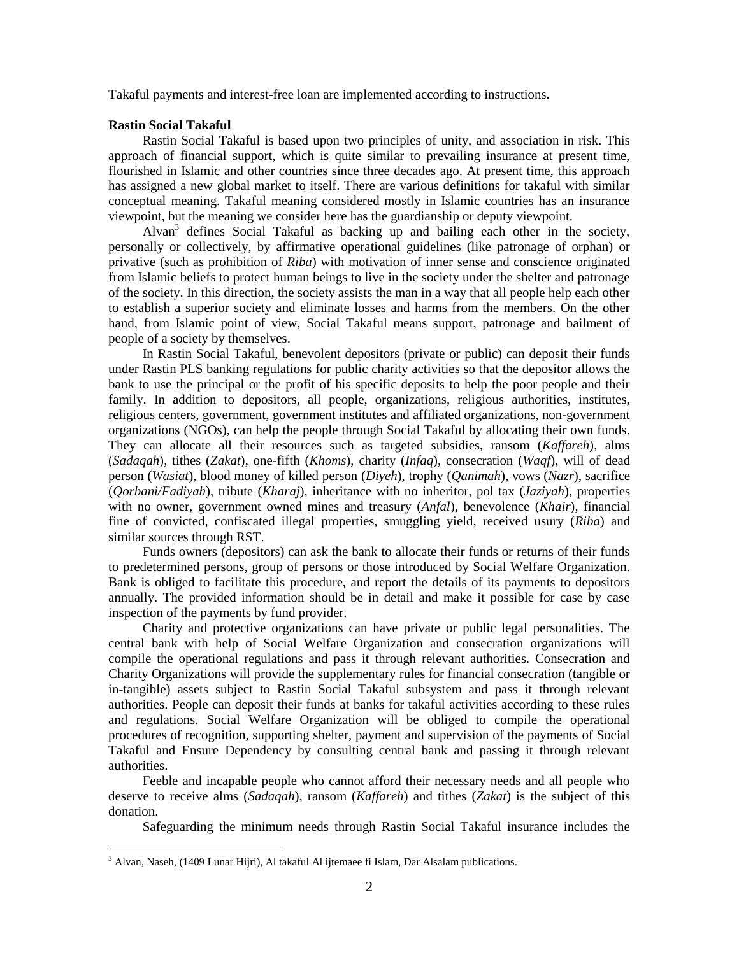Takaful payments and interest-free loan are implemented according to instructions.

#### **Rastin Social Takaful**

 $\overline{a}$ 

Rastin Social Takaful is based upon two principles of unity, and association in risk. This approach of financial support, which is quite similar to prevailing insurance at present time, flourished in Islamic and other countries since three decades ago. At present time, this approach has assigned a new global market to itself. There are various definitions for takaful with similar conceptual meaning. Takaful meaning considered mostly in Islamic countries has an insurance viewpoint, but the meaning we consider here has the guardianship or deputy viewpoint.

Alvan<sup>3</sup> defines Social Takaful as backing up and bailing each other in the society, personally or collectively, by affirmative operational guidelines (like patronage of orphan) or privative (such as prohibition of *Riba*) with motivation of inner sense and conscience originated from Islamic beliefs to protect human beings to live in the society under the shelter and patronage of the society. In this direction, the society assists the man in a way that all people help each other to establish a superior society and eliminate losses and harms from the members. On the other hand, from Islamic point of view, Social Takaful means support, patronage and bailment of people of a society by themselves.

In Rastin Social Takaful, benevolent depositors (private or public) can deposit their funds under Rastin PLS banking regulations for public charity activities so that the depositor allows the bank to use the principal or the profit of his specific deposits to help the poor people and their family. In addition to depositors, all people, organizations, religious authorities, institutes, religious centers, government, government institutes and affiliated organizations, non-government organizations (NGOs), can help the people through Social Takaful by allocating their own funds. They can allocate all their resources such as targeted subsidies, ransom (*Kaffareh*), alms (*Sadaqah*), tithes (*Zakat*), one-fifth (*Khoms*), charity (*Infaq*), consecration (*Waqf*), will of dead person (*Wasiat*), blood money of killed person (*Diyeh*), trophy (*Qanimah*), vows (*Nazr*), sacrifice (*Qorbani/Fadiyah*), tribute (*Kharaj*), inheritance with no inheritor, pol tax (*Jaziyah*), properties with no owner, government owned mines and treasury (*Anfal*), benevolence (*Khair*), financial fine of convicted, confiscated illegal properties, smuggling yield, received usury (*Riba*) and similar sources through RST.

Funds owners (depositors) can ask the bank to allocate their funds or returns of their funds to predetermined persons, group of persons or those introduced by Social Welfare Organization. Bank is obliged to facilitate this procedure, and report the details of its payments to depositors annually. The provided information should be in detail and make it possible for case by case inspection of the payments by fund provider.

Charity and protective organizations can have private or public legal personalities. The central bank with help of Social Welfare Organization and consecration organizations will compile the operational regulations and pass it through relevant authorities. Consecration and Charity Organizations will provide the supplementary rules for financial consecration (tangible or in-tangible) assets subject to Rastin Social Takaful subsystem and pass it through relevant authorities. People can deposit their funds at banks for takaful activities according to these rules and regulations. Social Welfare Organization will be obliged to compile the operational procedures of recognition, supporting shelter, payment and supervision of the payments of Social Takaful and Ensure Dependency by consulting central bank and passing it through relevant authorities.

Feeble and incapable people who cannot afford their necessary needs and all people who deserve to receive alms (*Sadaqah*), ransom (*Kaffareh*) and tithes (*Zakat*) is the subject of this donation.

Safeguarding the minimum needs through Rastin Social Takaful insurance includes the

<sup>3</sup> Alvan, Naseh, (1409 Lunar Hijri), Al takaful Al ijtemaee fi Islam, Dar Alsalam publications.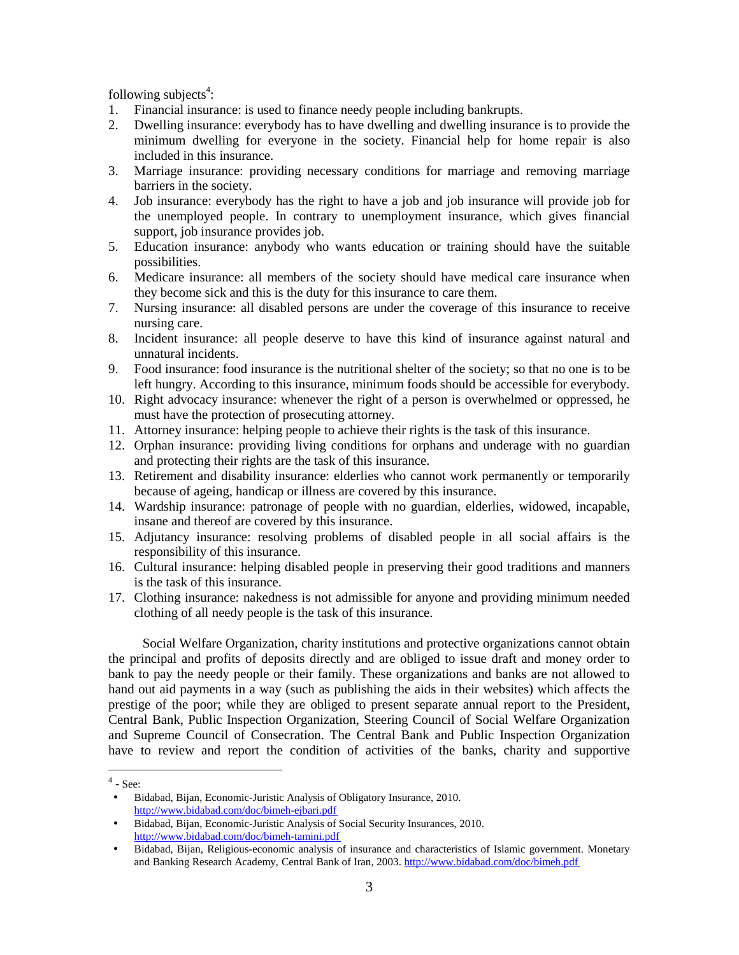following subjects<sup>4</sup>:

- 1. Financial insurance: is used to finance needy people including bankrupts.
- 2. Dwelling insurance: everybody has to have dwelling and dwelling insurance is to provide the minimum dwelling for everyone in the society. Financial help for home repair is also included in this insurance.
- 3. Marriage insurance: providing necessary conditions for marriage and removing marriage barriers in the society.
- 4. Job insurance: everybody has the right to have a job and job insurance will provide job for the unemployed people. In contrary to unemployment insurance, which gives financial support, job insurance provides job.
- 5. Education insurance: anybody who wants education or training should have the suitable possibilities.
- 6. Medicare insurance: all members of the society should have medical care insurance when they become sick and this is the duty for this insurance to care them.
- 7. Nursing insurance: all disabled persons are under the coverage of this insurance to receive nursing care.
- 8. Incident insurance: all people deserve to have this kind of insurance against natural and unnatural incidents.
- 9. Food insurance: food insurance is the nutritional shelter of the society; so that no one is to be left hungry. According to this insurance, minimum foods should be accessible for everybody.
- 10. Right advocacy insurance: whenever the right of a person is overwhelmed or oppressed, he must have the protection of prosecuting attorney.
- 11. Attorney insurance: helping people to achieve their rights is the task of this insurance.
- 12. Orphan insurance: providing living conditions for orphans and underage with no guardian and protecting their rights are the task of this insurance.
- 13. Retirement and disability insurance: elderlies who cannot work permanently or temporarily because of ageing, handicap or illness are covered by this insurance.
- 14. Wardship insurance: patronage of people with no guardian, elderlies, widowed, incapable, insane and thereof are covered by this insurance.
- 15. Adjutancy insurance: resolving problems of disabled people in all social affairs is the responsibility of this insurance.
- 16. Cultural insurance: helping disabled people in preserving their good traditions and manners is the task of this insurance.
- 17. Clothing insurance: nakedness is not admissible for anyone and providing minimum needed clothing of all needy people is the task of this insurance.

Social Welfare Organization, charity institutions and protective organizations cannot obtain the principal and profits of deposits directly and are obliged to issue draft and money order to bank to pay the needy people or their family. These organizations and banks are not allowed to hand out aid payments in a way (such as publishing the aids in their websites) which affects the prestige of the poor; while they are obliged to present separate annual report to the President, Central Bank, Public Inspection Organization, Steering Council of Social Welfare Organization and Supreme Council of Consecration. The Central Bank and Public Inspection Organization have to review and report the condition of activities of the banks, charity and supportive

 $4 - \text{See:}$ 

<sup>•</sup> Bidabad, Bijan, Economic-Juristic Analysis of Obligatory Insurance, 2010. <http://www.bidabad.com/doc/bimeh-ejbari.pdf>

<sup>•</sup> Bidabad, Bijan, Economic-Juristic Analysis of Social Security Insurances, 2010. <http://www.bidabad.com/doc/bimeh-tamini.pdf>

<sup>•</sup> Bidabad, Bijan, Religious-economic analysis of insurance and characteristics of Islamic government. Monetary and Banking Research Academy, Central Bank of Iran, 2003. <http://www.bidabad.com/doc/bimeh.pdf>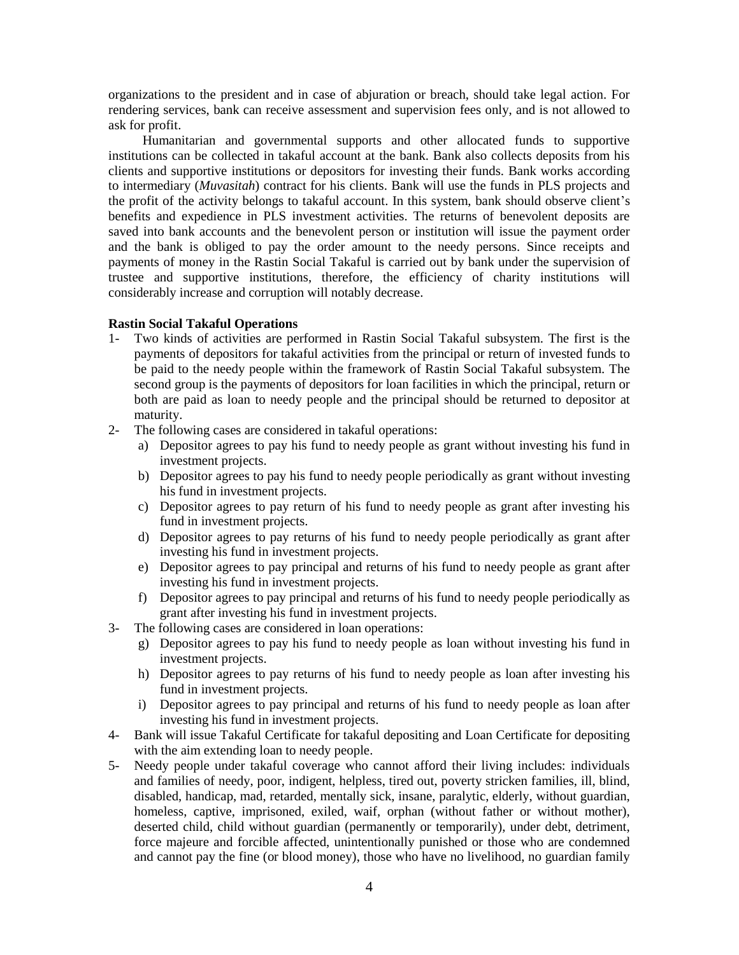organizations to the president and in case of abjuration or breach, should take legal action. For rendering services, bank can receive assessment and supervision fees only, and is not allowed to ask for profit.

Humanitarian and governmental supports and other allocated funds to supportive institutions can be collected in takaful account at the bank. Bank also collects deposits from his clients and supportive institutions or depositors for investing their funds. Bank works according to intermediary (*Muvasitah*) contract for his clients. Bank will use the funds in PLS projects and the profit of the activity belongs to takaful account. In this system, bank should observe client's benefits and expedience in PLS investment activities. The returns of benevolent deposits are saved into bank accounts and the benevolent person or institution will issue the payment order and the bank is obliged to pay the order amount to the needy persons. Since receipts and payments of money in the Rastin Social Takaful is carried out by bank under the supervision of trustee and supportive institutions, therefore, the efficiency of charity institutions will considerably increase and corruption will notably decrease.

## **Rastin Social Takaful Operations**

- 1- Two kinds of activities are performed in Rastin Social Takaful subsystem. The first is the payments of depositors for takaful activities from the principal or return of invested funds to be paid to the needy people within the framework of Rastin Social Takaful subsystem. The second group is the payments of depositors for loan facilities in which the principal, return or both are paid as loan to needy people and the principal should be returned to depositor at maturity.
- 2- The following cases are considered in takaful operations:
	- a) Depositor agrees to pay his fund to needy people as grant without investing his fund in investment projects.
	- b) Depositor agrees to pay his fund to needy people periodically as grant without investing his fund in investment projects.
	- c) Depositor agrees to pay return of his fund to needy people as grant after investing his fund in investment projects.
	- d) Depositor agrees to pay returns of his fund to needy people periodically as grant after investing his fund in investment projects.
	- e) Depositor agrees to pay principal and returns of his fund to needy people as grant after investing his fund in investment projects.
	- f) Depositor agrees to pay principal and returns of his fund to needy people periodically as grant after investing his fund in investment projects.
- 3- The following cases are considered in loan operations:
	- g) Depositor agrees to pay his fund to needy people as loan without investing his fund in investment projects.
	- h) Depositor agrees to pay returns of his fund to needy people as loan after investing his fund in investment projects.
	- i) Depositor agrees to pay principal and returns of his fund to needy people as loan after investing his fund in investment projects.
- 4- Bank will issue Takaful Certificate for takaful depositing and Loan Certificate for depositing with the aim extending loan to needy people.
- 5- Needy people under takaful coverage who cannot afford their living includes: individuals and families of needy, poor, indigent, helpless, tired out, poverty stricken families, ill, blind, disabled, handicap, mad, retarded, mentally sick, insane, paralytic, elderly, without guardian, homeless, captive, imprisoned, exiled, waif, orphan (without father or without mother), deserted child, child without guardian (permanently or temporarily), under debt, detriment, force majeure and forcible affected, unintentionally punished or those who are condemned and cannot pay the fine (or blood money), those who have no livelihood, no guardian family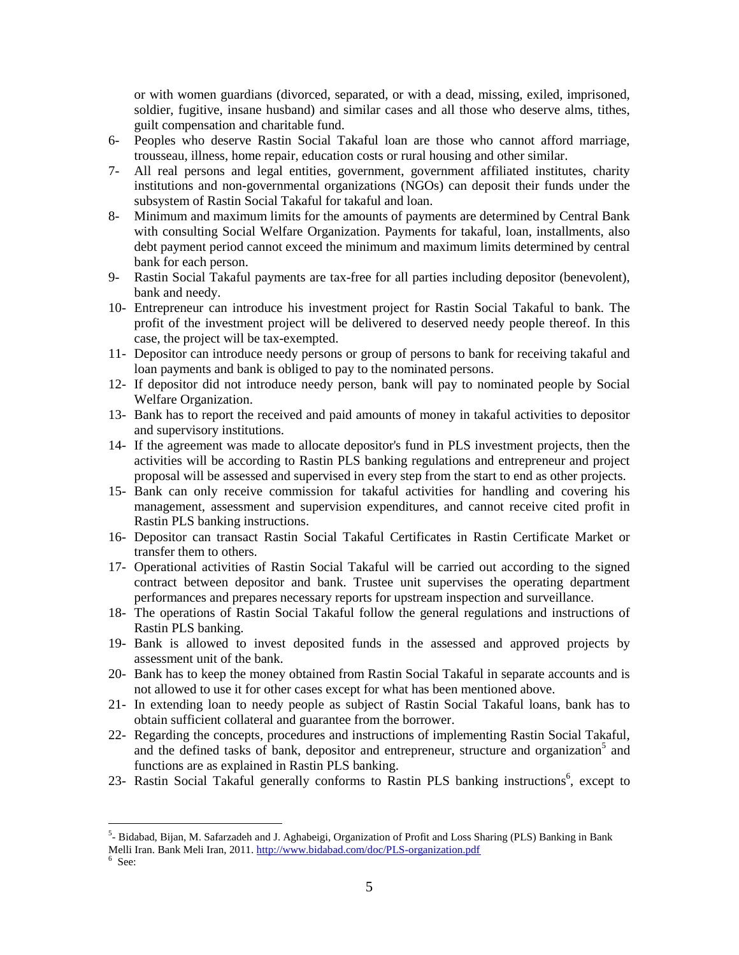or with women guardians (divorced, separated, or with a dead, missing, exiled, imprisoned, soldier, fugitive, insane husband) and similar cases and all those who deserve alms, tithes, guilt compensation and charitable fund.

- 6- Peoples who deserve Rastin Social Takaful loan are those who cannot afford marriage, trousseau, illness, home repair, education costs or rural housing and other similar.
- 7- All real persons and legal entities, government, government affiliated institutes, charity institutions and non-governmental organizations (NGOs) can deposit their funds under the subsystem of Rastin Social Takaful for takaful and loan.
- 8- Minimum and maximum limits for the amounts of payments are determined by Central Bank with consulting Social Welfare Organization. Payments for takaful, loan, installments, also debt payment period cannot exceed the minimum and maximum limits determined by central bank for each person.
- 9- Rastin Social Takaful payments are tax-free for all parties including depositor (benevolent), bank and needy.
- 10- Entrepreneur can introduce his investment project for Rastin Social Takaful to bank. The profit of the investment project will be delivered to deserved needy people thereof. In this case, the project will be tax-exempted.
- 11- Depositor can introduce needy persons or group of persons to bank for receiving takaful and loan payments and bank is obliged to pay to the nominated persons.
- 12- If depositor did not introduce needy person, bank will pay to nominated people by Social Welfare Organization.
- 13- Bank has to report the received and paid amounts of money in takaful activities to depositor and supervisory institutions.
- 14- If the agreement was made to allocate depositor's fund in PLS investment projects, then the activities will be according to Rastin PLS banking regulations and entrepreneur and project proposal will be assessed and supervised in every step from the start to end as other projects.
- 15- Bank can only receive commission for takaful activities for handling and covering his management, assessment and supervision expenditures, and cannot receive cited profit in Rastin PLS banking instructions.
- 16- Depositor can transact Rastin Social Takaful Certificates in Rastin Certificate Market or transfer them to others.
- 17- Operational activities of Rastin Social Takaful will be carried out according to the signed contract between depositor and bank. Trustee unit supervises the operating department performances and prepares necessary reports for upstream inspection and surveillance.
- 18- The operations of Rastin Social Takaful follow the general regulations and instructions of Rastin PLS banking.
- 19- Bank is allowed to invest deposited funds in the assessed and approved projects by assessment unit of the bank.
- 20- Bank has to keep the money obtained from Rastin Social Takaful in separate accounts and is not allowed to use it for other cases except for what has been mentioned above.
- 21- In extending loan to needy people as subject of Rastin Social Takaful loans, bank has to obtain sufficient collateral and guarantee from the borrower.
- 22- Regarding the concepts, procedures and instructions of implementing Rastin Social Takaful, and the defined tasks of bank, depositor and entrepreneur, structure and organization<sup>5</sup> and functions are as explained in Rastin PLS banking.
- 23- Rastin Social Takaful generally conforms to Rastin PLS banking instructions<sup>6</sup>, except to

 $\overline{a}$ 

<sup>&</sup>lt;sup>5</sup>- Bidabad, Bijan, M. Safarzadeh and J. Aghabeigi, Organization of Profit and Loss Sharing (PLS) Banking in Bank Melli Iran. Bank Meli Iran, 2011. <http://www.bidabad.com/doc/PLS-organization.pdf>

<sup>6</sup> See: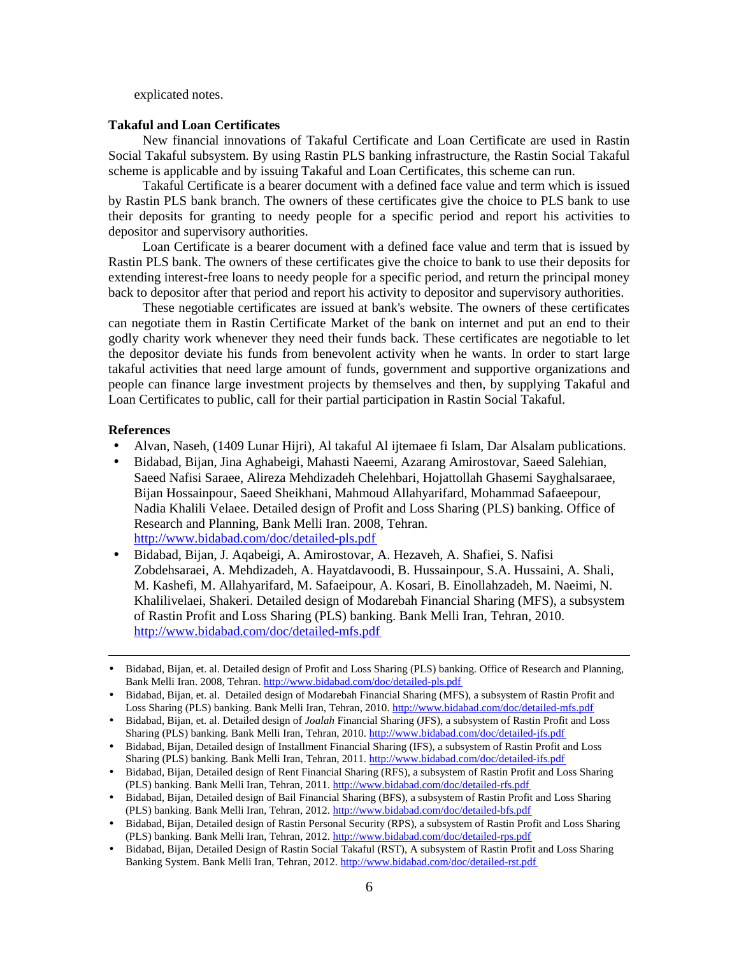explicated notes.

### **Takaful and Loan Certificates**

New financial innovations of Takaful Certificate and Loan Certificate are used in Rastin Social Takaful subsystem. By using Rastin PLS banking infrastructure, the Rastin Social Takaful scheme is applicable and by issuing Takaful and Loan Certificates, this scheme can run.

Takaful Certificate is a bearer document with a defined face value and term which is issued by Rastin PLS bank branch. The owners of these certificates give the choice to PLS bank to use their deposits for granting to needy people for a specific period and report his activities to depositor and supervisory authorities.

Loan Certificate is a bearer document with a defined face value and term that is issued by Rastin PLS bank. The owners of these certificates give the choice to bank to use their deposits for extending interest-free loans to needy people for a specific period, and return the principal money back to depositor after that period and report his activity to depositor and supervisory authorities.

These negotiable certificates are issued at bank's website. The owners of these certificates can negotiate them in Rastin Certificate Market of the bank on internet and put an end to their godly charity work whenever they need their funds back. These certificates are negotiable to let the depositor deviate his funds from benevolent activity when he wants. In order to start large takaful activities that need large amount of funds, government and supportive organizations and people can finance large investment projects by themselves and then, by supplying Takaful and Loan Certificates to public, call for their partial participation in Rastin Social Takaful.

### **References**

1

- Alvan, Naseh, (1409 Lunar Hijri), Al takaful Al ijtemaee fi Islam, Dar Alsalam publications.
- Bidabad, Bijan, Jina Aghabeigi, Mahasti Naeemi, Azarang Amirostovar, Saeed Salehian, Saeed Nafisi Saraee, Alireza Mehdizadeh Chelehbari, Hojattollah Ghasemi Sayghalsaraee, Bijan Hossainpour, Saeed Sheikhani, Mahmoud Allahyarifard, Mohammad Safaeepour, Nadia Khalili Velaee. Detailed design of Profit and Loss Sharing (PLS) banking. Office of Research and Planning, Bank Melli Iran. 2008, Tehran. <http://www.bidabad.com/doc/detailed-pls.pdf>
- Bidabad, Bijan, J. Aqabeigi, A. Amirostovar, A. Hezaveh, A. Shafiei, S. Nafisi Zobdehsaraei, A. Mehdizadeh, A. Hayatdavoodi, B. Hussainpour, S.A. Hussaini, A. Shali, M. Kashefi, M. Allahyarifard, M. Safaeipour, A. Kosari, B. Einollahzadeh, M. Naeimi, N. Khalilivelaei, Shakeri. Detailed design of Modarebah Financial Sharing (MFS), a subsystem of Rastin Profit and Loss Sharing (PLS) banking. Bank Melli Iran, Tehran, 2010. <http://www.bidabad.com/doc/detailed-mfs.pdf>

- Bidabad, Bijan, et. al. Detailed design of *Joalah* Financial Sharing (JFS), a subsystem of Rastin Profit and Loss Sharing (PLS) banking. Bank Melli Iran, Tehran, 2010. http://www.bidabad.com/doc/detailed-jfs.pdf
- Bidabad, Bijan, Detailed design of Installment Financial Sharing (IFS), a subsystem of Rastin Profit and Loss Sharing (PLS) banking. Bank Melli Iran, Tehran, 2011. <http://www.bidabad.com/doc/detailed-ifs.pdf>
- Bidabad, Bijan, Detailed design of Rent Financial Sharing (RFS), a subsystem of Rastin Profit and Loss Sharing (PLS) banking. Bank Melli Iran, Tehran, 2011. http://www.bidabad.com/doc/detailed-rfs.pdf
- Bidabad, Bijan, Detailed design of Bail Financial Sharing (BFS), a subsystem of Rastin Profit and Loss Sharing (PLS) banking. Bank Melli Iran, Tehran, 2012. <http://www.bidabad.com/doc/detailed-bfs.pdf>
- Bidabad, Bijan, Detailed design of Rastin Personal Security (RPS), a subsystem of Rastin Profit and Loss Sharing (PLS) banking. Bank Melli Iran, Tehran, 2012. <http://www.bidabad.com/doc/detailed-rps.pdf>
- Bidabad, Bijan, Detailed Design of Rastin Social Takaful (RST), A subsystem of Rastin Profit and Loss Sharing Banking System. Bank Melli Iran, Tehran, 2012.<http://www.bidabad.com/doc/detailed-rst.pdf>

<sup>•</sup> Bidabad, Bijan, et. al. Detailed design of Profit and Loss Sharing (PLS) banking. Office of Research and Planning, Bank Melli Iran. 2008, Tehran. <http://www.bidabad.com/doc/detailed-pls.pdf>

<sup>•</sup> Bidabad, Bijan, et. al. Detailed design of Modarebah Financial Sharing (MFS), a subsystem of Rastin Profit and Loss Sharing (PLS) banking. Bank Melli Iran, Tehran, 2010.<http://www.bidabad.com/doc/detailed-mfs.pdf>